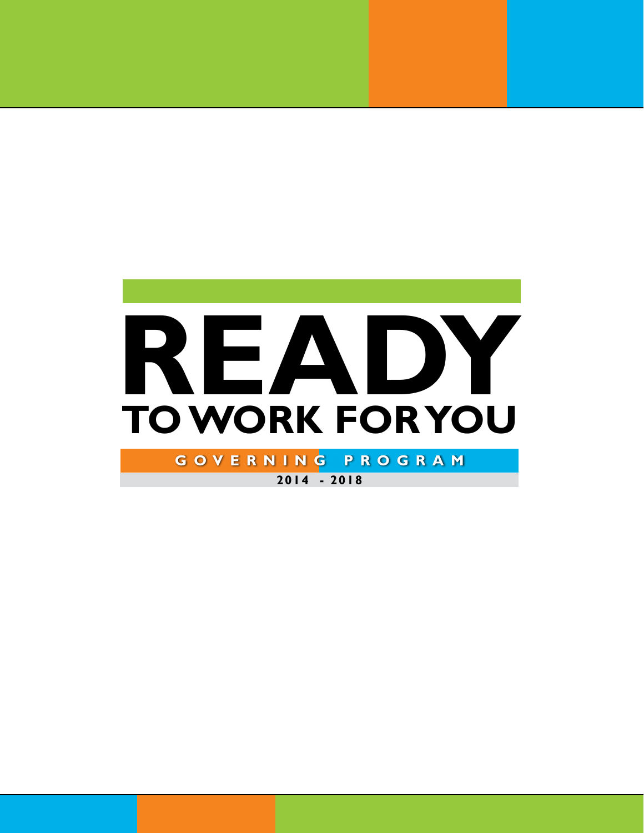

**2014 - 2018**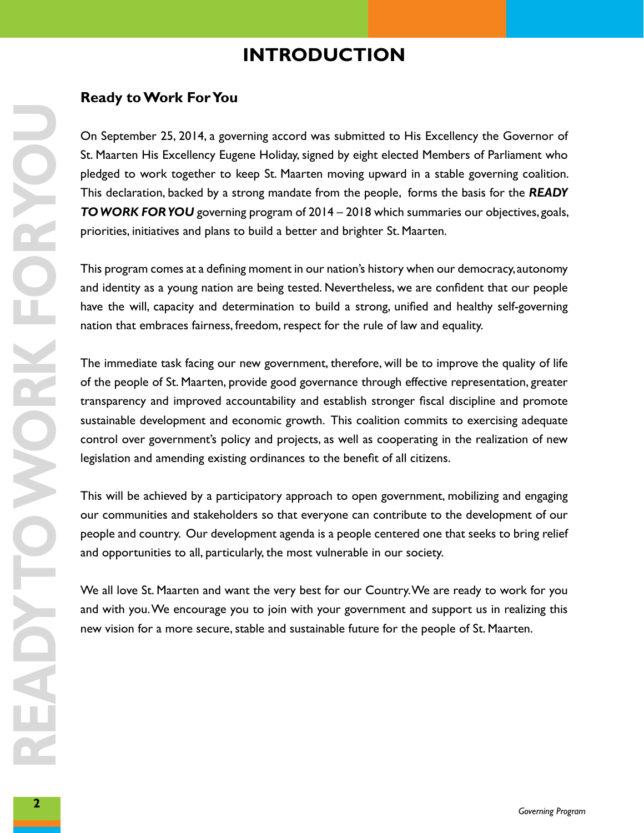### **introduction**

#### **Ready to Work For You**

On September 25, 2014, a governing accord was submitted to His Excellency the Governor of<br>Sc Planeten His Excellency Eugene Holdsy, signed by eight elected Members of Parliament who<br>pledged to work together to keep St. Maa On September 25, 2014, a governing accord was submitted to His Excellency the Governor of St. Maarten His Excellency Eugene Holiday, signed by eight elected Members of Parliament who pledged to work together to keep St. Maarten moving upward in a stable governing coalition. This declaration, backed by a strong mandate from the people, forms the basis for the *READY TO WORK FOR YOU* governing program of 2014 – 2018 which summaries our objectives, goals, priorities, initiatives and plans to build a better and brighter St. Maarten.

This program comes at a defining moment in our nation's history when our democracy, autonomy and identity as a young nation are being tested. Nevertheless, we are confident that our people have the will, capacity and determination to build a strong, unified and healthy self-governing nation that embraces fairness, freedom, respect for the rule of law and equality.

The immediate task facing our new government, therefore, will be to improve the quality of life of the people of St. Maarten, provide good governance through effective representation, greater transparency and improved accountability and establish stronger fiscal discipline and promote sustainable development and economic growth. This coalition commits to exercising adequate control over government's policy and projects, as well as cooperating in the realization of new legislation and amending existing ordinances to the benefit of all citizens.

This will be achieved by a participatory approach to open government, mobilizing and engaging our communities and stakeholders so that everyone can contribute to the development of our people and country. Our development agenda is a people centered one that seeks to bring relief and opportunities to all, particularly, the most vulnerable in our society.

We all love St. Maarten and want the very best for our Country. We are ready to work for you and with you. We encourage you to join with your government and support us in realizing this new vision for a more secure, stable and sustainable future for the people of St. Maarten.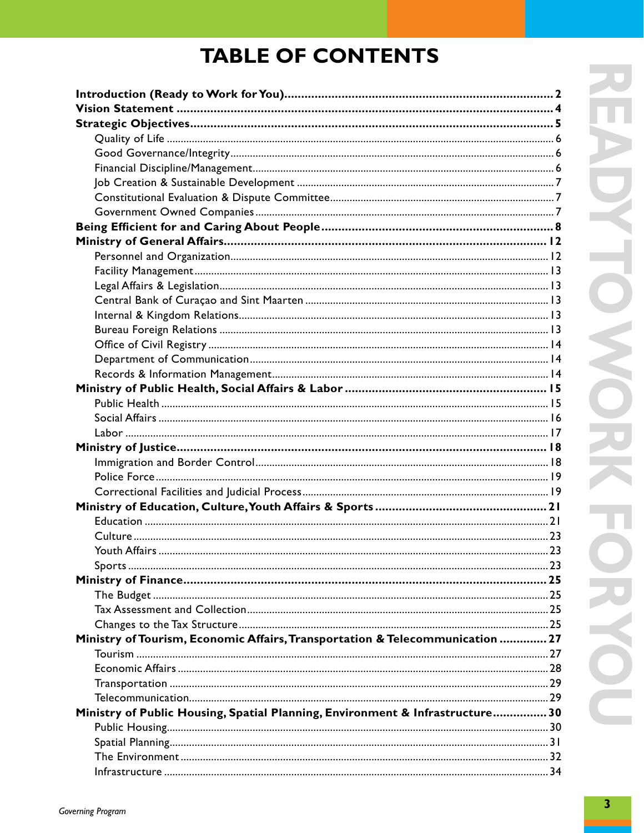### **TABLE OF CONTENTS**

| Ministry of Tourism, Economic Affairs, Transportation & Telecommunication  27 |  |
|-------------------------------------------------------------------------------|--|
|                                                                               |  |
|                                                                               |  |
|                                                                               |  |
|                                                                               |  |
| Ministry of Public Housing, Spatial Planning, Environment & Infrastructure 30 |  |
|                                                                               |  |
|                                                                               |  |
|                                                                               |  |
|                                                                               |  |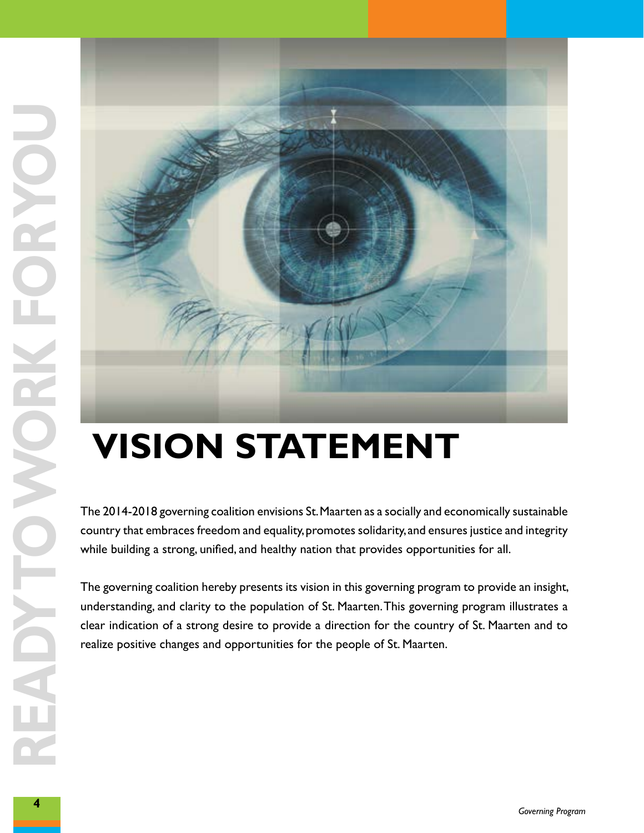

### **vision statement**

country that embraces freedom and equality, promotes solidarity, and ensures justice and integrity while building a strong, unified, and healthy nation that provides opportunities for all.

The governing coalition hereby presents its vision in this governing program to provide an insight, understanding, and clarity to the population of St. Maarten. This governing program illustrates a clear indication of a strong desire to provide a direction for the country of St. Maarten and to realize positive changes and opportunities for the people of St. Maarten.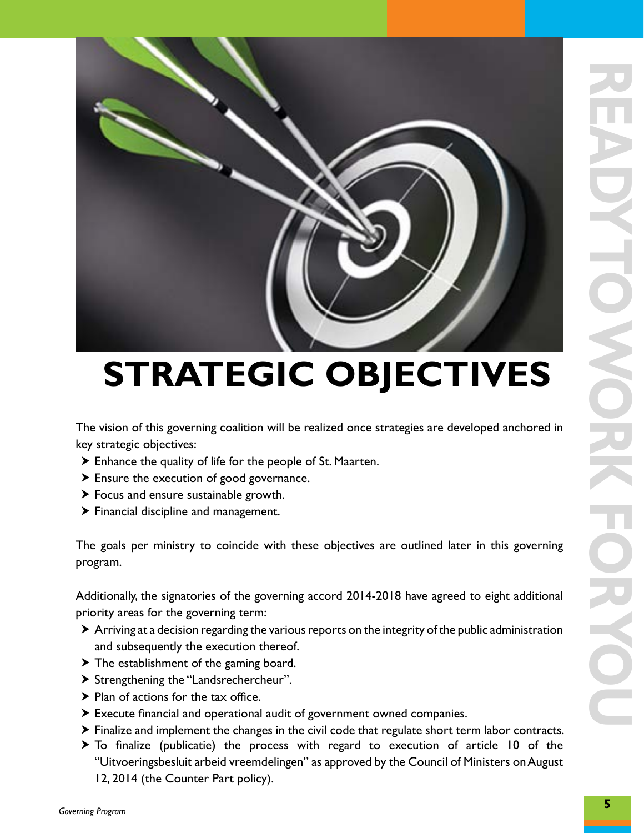

## **strategic objectives**

The vision of this governing coalition will be realized once strategies are developed anchored in key strategic objectives:

- $\triangleright$  Enhance the quality of life for the people of St. Maarten.
- $\triangleright$  Ensure the execution of good governance.
- $\blacktriangleright$  Focus and ensure sustainable growth.
- $\blacktriangleright$  Financial discipline and management.

The goals per ministry to coincide with these objectives are outlined later in this governing program.

Additionally, the signatories of the governing accord 2014-2018 have agreed to eight additional priority areas for the governing term:

- $\triangleright$  Arriving at a decision regarding the various reports on the integrity of the public administration and subsequently the execution thereof.
- $\blacktriangleright$  The establishment of the gaming board.
- > Strengthening the "Landsrechercheur".
- $\blacktriangleright$  Plan of actions for the tax office.
- $\blacktriangleright$  Execute financial and operational audit of government owned companies.
- $\triangleright$  Finalize and implement the changes in the civil code that regulate short term labor contracts.
- $\triangleright$  To finalize (publicatie) the process with regard to execution of article 10 of the "Uitvoeringsbesluit arbeid vreemdelingen" as approved by the Council of Ministers on August 12, 2014 (the Counter Part policy).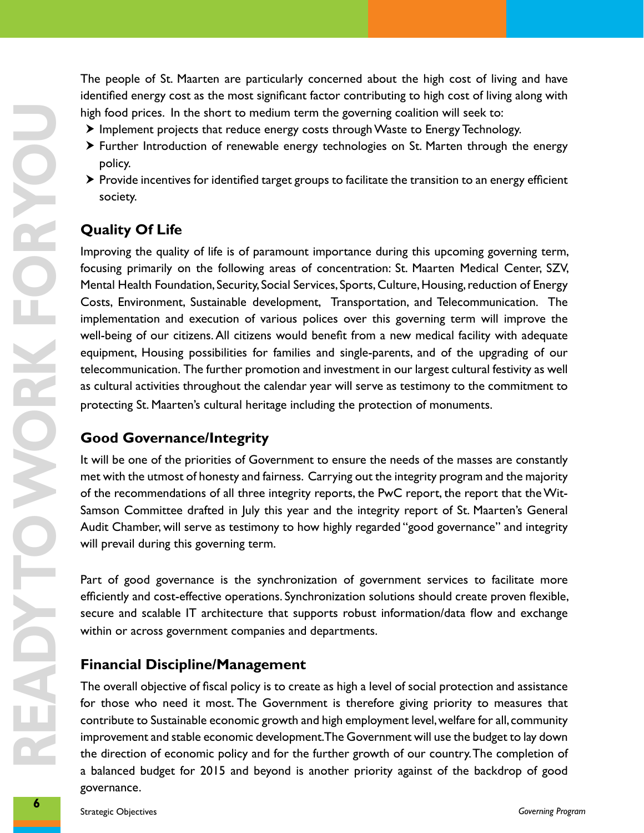The people of St. Maarten are particularly concerned about the high cost of living and have identified energy cost as the most significant factor contributing to high cost of living along with high food prices. In the short to medium term the governing coalition will seek to:

- $\blacktriangleright$  Implement projects that reduce energy costs through Waste to Energy Technology.
- $\triangleright$  Further Introduction of renewable energy technologies on St. Marten through the energy policy.
- $\triangleright$  Provide incentives for identified target groups to facilitate the transition to an energy efficient society.

#### **Quality Of Life**

**hand primes.** In the about read median term the givenwind conlidered to consider the production of remember of median terms of the system of the production of remember one generation of the system of the system of product Improving the quality of life is of paramount importance during this upcoming governing term, focusing primarily on the following areas of concentration: St. Maarten Medical Center, SZV, Mental Health Foundation, Security, Social Services, Sports, Culture, Housing, reduction of Energy Costs, Environment, Sustainable development, Transportation, and Telecommunication. The implementation and execution of various polices over this governing term will improve the well-being of our citizens. All citizens would benefit from a new medical facility with adequate equipment, Housing possibilities for families and single-parents, and of the upgrading of our telecommunication. The further promotion and investment in our largest cultural festivity as well as cultural activities throughout the calendar year will serve as testimony to the commitment to protecting St. Maarten's cultural heritage including the protection of monuments.

#### **Good Governance/Integrity**

It will be one of the priorities of Government to ensure the needs of the masses are constantly met with the utmost of honesty and fairness. Carrying out the integrity program and the majority of the recommendations of all three integrity reports, the PwC report, the report that the Wit-Samson Committee drafted in July this year and the integrity report of St. Maarten's General Audit Chamber, will serve as testimony to how highly regarded "good governance" and integrity will prevail during this governing term.

Part of good governance is the synchronization of government services to facilitate more efficiently and cost-effective operations. Synchronization solutions should create proven flexible, secure and scalable IT architecture that supports robust information/data flow and exchange within or across government companies and departments.

#### **Financial Discipline/Management**

The overall objective of fiscal policy is to create as high a level of social protection and assistance for those who need it most. The Government is therefore giving priority to measures that contribute to Sustainable economic growth and high employment level, welfare for all, community improvement and stable economic development. The Government will use the budget to lay down the direction of economic policy and for the further growth of our country. The completion of a balanced budget for 2015 and beyond is another priority against of the backdrop of good governance.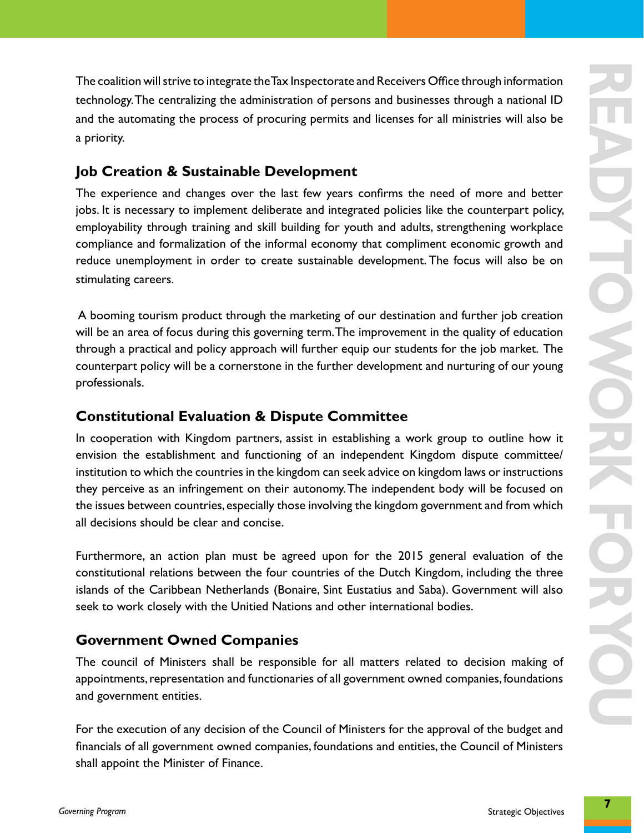The coalition will strive to integrate the Tax Inspectorate and Receivers Office through information technology. The centralizing the administration of persons and businesses through a national ID and the automating the process of procuring permits and licenses for all ministries will also be a priority.

#### **Job Creation & Sustainable Development**

The realition will strive to integrate the Tax Integrate and Receivers Office shrooptimizes in the constrained and be adventuating the process of process of process and besties for all ministries will also be a profit). On The experience and changes over the last few years confirms the need of more and better jobs. It is necessary to implement deliberate and integrated policies like the counterpart policy, employability through training and skill building for youth and adults, strengthening workplace compliance and formalization of the informal economy that compliment economic growth and reduce unemployment in order to create sustainable development. The focus will also be on stimulating careers.

 A booming tourism product through the marketing of our destination and further job creation will be an area of focus during this governing term. The improvement in the quality of education through a practical and policy approach will further equip our students for the job market. The counterpart policy will be a cornerstone in the further development and nurturing of our young professionals.

#### **Constitutional Evaluation & Dispute Committee**

In cooperation with Kingdom partners, assist in establishing a work group to outline how it envision the establishment and functioning of an independent Kingdom dispute committee/ institution to which the countries in the kingdom can seek advice on kingdom laws or instructions they perceive as an infringement on their autonomy. The independent body will be focused on the issues between countries, especially those involving the kingdom government and from which all decisions should be clear and concise.

Furthermore, an action plan must be agreed upon for the 2015 general evaluation of the constitutional relations between the four countries of the Dutch Kingdom, including the three islands of the Caribbean Netherlands (Bonaire, Sint Eustatius and Saba). Government will also seek to work closely with the Unitied Nations and other international bodies.

#### **Government Owned Companies**

The council of Ministers shall be responsible for all matters related to decision making of appointments, representation and functionaries of all government owned companies, foundations and government entities.

For the execution of any decision of the Council of Ministers for the approval of the budget and financials of all government owned companies, foundations and entities, the Council of Ministers shall appoint the Minister of Finance.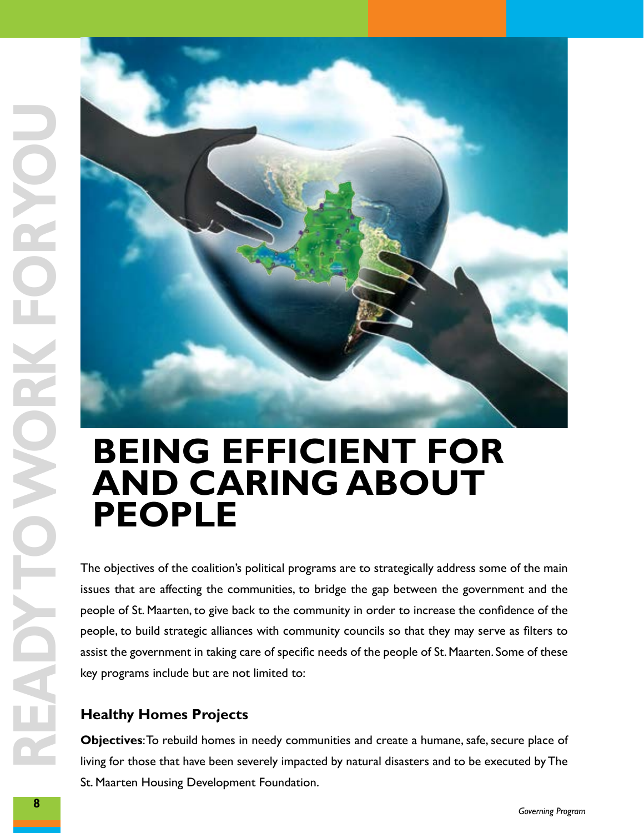

# **and caring about People**

The objectives of the coalition's political programs are to strategically address some of the main issues that are affecting the communities, to bridge the gap between the government and the people of St. Maarten, to give back to the community in order to increase the confidence of the people, to build strategic alliances with community councils so that they may serve as filters to assist the government in taking care of specific needs of the people of St. Maarten. Some of these key programs include but are not limited to:

#### **Healthy Homes Projects**

**Objectives**: To rebuild homes in needy communities and create a humane, safe, secure place of living for those that have been severely impacted by natural disasters and to be executed by The St. Maarten Housing Development Foundation.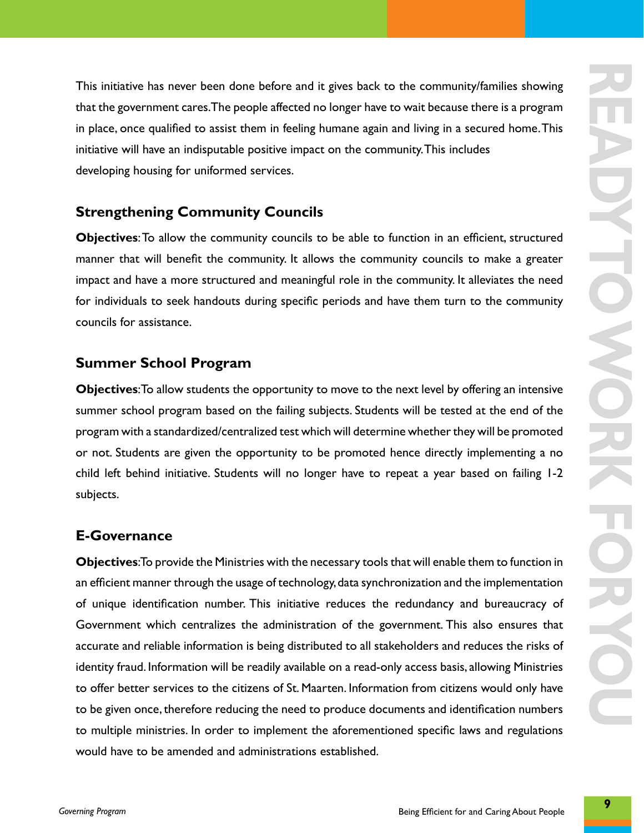This initiative has never been done before and it gives back to the community/families showing that the government cares. The people affected no longer have to wait because there is a program in place, once qualified to assist them in feeling humane again and living in a secured home. This initiative will have an indisputable positive impact on the community. This includes developing housing for uniformed services.

#### **Strengthening Community Councils**

**Objectives**: To allow the community councils to be able to function in an efficient, structured manner that will benefit the community. It allows the community councils to make a greater impact and have a more structured and meaningful role in the community. It alleviates the need for individuals to seek handouts during specific periods and have them turn to the community councils for assistance.

#### **Summer School Program**

**Objectives**: To allow students the opportunity to move to the next level by offering an intensive summer school program based on the failing subjects. Students will be tested at the end of the program with a standardized/centralized test which will determine whether they will be promoted or not. Students are given the opportunity to be promoted hence directly implementing a no child left behind initiative. Students will no longer have to repeat a year based on failing 1-2 subjects.

#### **E-Governance**

This initiative has never been done before and it gives back to the community/furniles showing<br>that the government cares The people affects to longer have to wat because there is a sengern<br>in place, once qualified to assis **Objectives**: To provide the Ministries with the necessary tools that will enable them to function in an efficient manner through the usage of technology, data synchronization and the implementation of unique identification number. This initiative reduces the redundancy and bureaucracy of Government which centralizes the administration of the government. This also ensures that accurate and reliable information is being distributed to all stakeholders and reduces the risks of identity fraud. Information will be readily available on a read-only access basis, allowing Ministries to offer better services to the citizens of St. Maarten. Information from citizens would only have to be given once, therefore reducing the need to produce documents and identification numbers to multiple ministries. In order to implement the aforementioned specific laws and regulations would have to be amended and administrations established.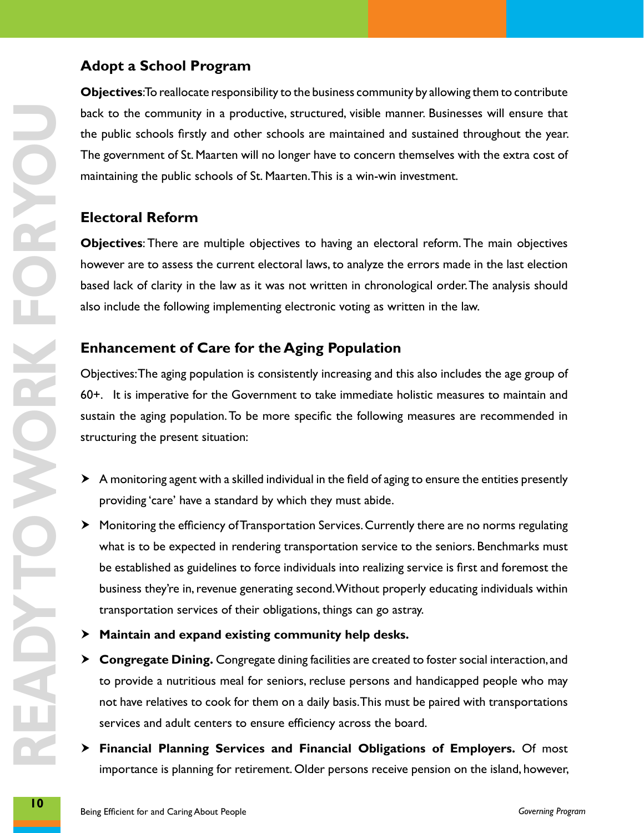#### **Adopt a School Program**

**Objectives**: To reallocate responsibility to the business community by allowing them to contribute back to the community in a productive, structured, visible manner. Businesses will ensure that the public schools firstly and other schools are maintained and sustained throughout the year. The government of St. Maarten will no longer have to concern themselves with the extra cost of maintaining the public schools of St. Maarten. This is a win-win investment.

#### **Electoral Reform**

**Objectives**: There are multiple objectives to having an electoral reform. The main objectives however are to assess the current electoral laws, to analyze the errors made in the last election based lack of clarity in the law as it was not written in chronological order. The analysis should also include the following implementing electronic voting as written in the law.

#### **Enhancement of Care for the Aging Population**

Objectives: The aging population is consistently increasing and this also includes the age group of 60+. It is imperative for the Government to take immediate holistic measures to maintain and sustain the aging population. To be more specific the following measures are recommended in structuring the present situation:

- $\triangleright$  A monitoring agent with a skilled individual in the field of aging to ensure the entities presently providing 'care' have a standard by which they must abide.
- **10 10 b C** to the community in a produce on, structured, visible manner Businesse will transfer by the property of the property of the property of the property of the protective property of the protective property o  $\blacktriangleright$  Monitoring the efficiency of Transportation Services. Currently there are no norms regulating what is to be expected in rendering transportation service to the seniors. Benchmarks must be established as guidelines to force individuals into realizing service is first and foremost the business they're in, revenue generating second. Without properly educating individuals within transportation services of their obligations, things can go astray.
	- **EXED Maintain and expand existing community help desks.**
	- **Example 2 Set Congregate Dining.** Congregate dining facilities are created to foster social interaction, and to provide a nutritious meal for seniors, recluse persons and handicapped people who may not have relatives to cook for them on a daily basis. This must be paired with transportations services and adult centers to ensure efficiency across the board.
	- h **Financial Planning Services and Financial Obligations of Employers.** Of most importance is planning for retirement. Older persons receive pension on the island, however,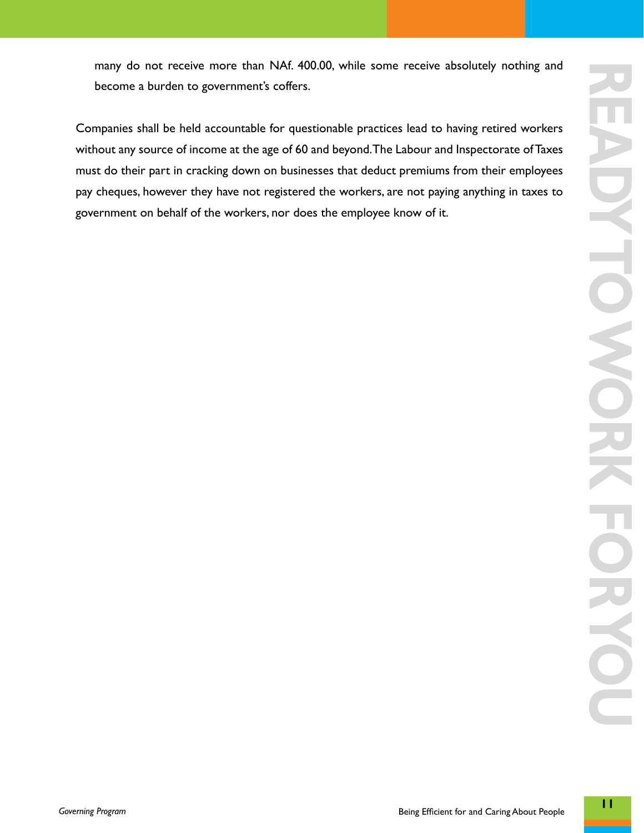**ready to work for you** UVE HOWORK ORSO

many do not receive more than NAf. 400.00, while some receive absolutely nothing and become a burden to government's coffers.

Companies shall be held accountable for questionable practices lead to having retired workers without any source of income at the age of 60 and beyond. The Labour and Inspectorate of Taxes must do their part in cracking down on businesses that deduct premiums from their employees pay cheques, however they have not registered the workers, are not paying anything in taxes to government on behalf of the workers, nor does the employee know of it.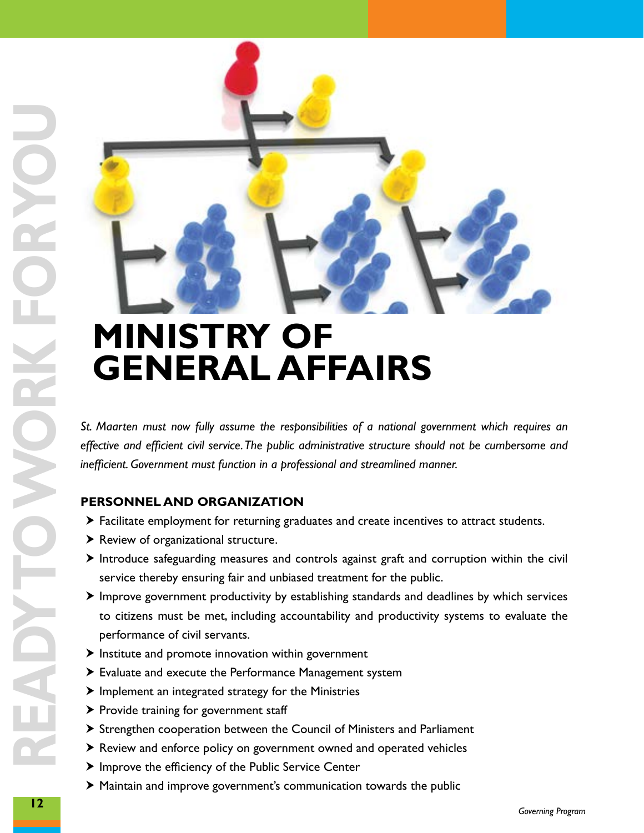

*St. Maarten must now fully assume the responsibilities of a national government which requires an effective and efficient civil service. The public administrative structure should not be cumbersome and inefficient. Government must function in a professional and streamlined manner.*

#### **PERSONNEL AND ORGANIZATION**

- $\triangleright$  Facilitate employment for returning graduates and create incentives to attract students.
- $\blacktriangleright$  Review of organizational structure.
- $\triangleright$  Introduce safeguarding measures and controls against graft and corruption within the civil service thereby ensuring fair and unbiased treatment for the public.
- $\blacktriangleright$  Improve government productivity by establishing standards and deadlines by which services to citizens must be met, including accountability and productivity systems to evaluate the performance of civil servants.
- $\blacktriangleright$  Institute and promote innovation within government
- $\blacktriangleright$  Evaluate and execute the Performance Management system
- $\blacktriangleright$  Implement an integrated strategy for the Ministries
- $\blacktriangleright$  Provide training for government staff
- $\triangleright$  Strengthen cooperation between the Council of Ministers and Parliament
- $\triangleright$  Review and enforce policy on government owned and operated vehicles
- $\blacktriangleright$  Improve the efficiency of the Public Service Center
- $\blacktriangleright$  Maintain and improve government's communication towards the public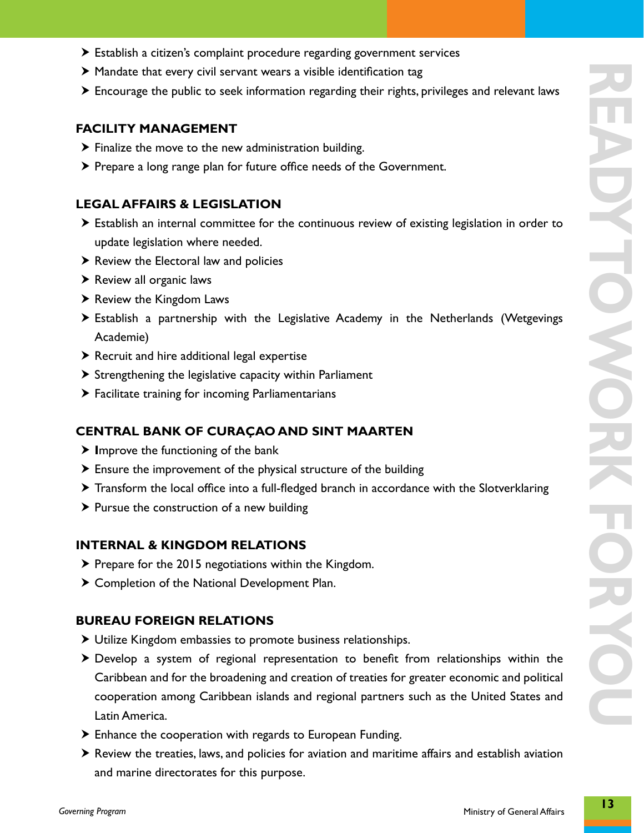- $\triangleright$  Establish a citizen's complaint procedure regarding government services
- $\blacktriangleright$  Mandate that every civil servant wears a visible identification tag
- $\triangleright$  Encourage the public to seek information regarding their rights, privileges and relevant laws

#### **FACILITY MANAGEMENT**

- $\triangleright$  Finalize the move to the new administration building.
- $\triangleright$  Prepare a long range plan for future office needs of the Government.

#### **LEGAL AFFAIRS & LEGISLATION**

- $\triangleright$  Establish an internal committee for the continuous review of existing legislation in order to update legislation where needed.
- $\blacktriangleright$  Review the Electoral law and policies
- $\blacktriangleright$  Review all organic laws
- $\blacktriangleright$  Review the Kingdom Laws
- $\blacktriangleright$  Establish a partnership with the Legislative Academy in the Netherlands (Wetgevings Academie)
- $\triangleright$  Recruit and hire additional legal expertise
- $\triangleright$  Strengthening the legislative capacity within Parliament
- $\blacktriangleright$  Facilitate training for incoming Parliamentarians

#### **Central Bank of Curaçao and Sint Maarten**

- > Improve the functioning of the bank
- $\triangleright$  Ensure the improvement of the physical structure of the building
- $\triangleright$  Transform the local office into a full-fledged branch in accordance with the Slotverklaring
- $\triangleright$  Pursue the construction of a new building

#### **INTERNAL & KINGDOM RELATIONS**

- $\triangleright$  Prepare for the 2015 negotiations within the Kingdom.
- $\triangleright$  Completion of the National Development Plan.

#### **BUREAU FOREIGN RELATIONS**

- $\triangleright$  Utilize Kingdom embassies to promote business relationships.
- $\triangleright$  Develop a system of regional representation to benefit from relationships within the Caribbean and for the broadening and creation of treaties for greater economic and political cooperation among Caribbean islands and regional partners such as the United States and Latin America.
- $\blacktriangleright$  Enhance the cooperation with regards to European Funding.
- $\triangleright$  Review the treaties, laws, and policies for aviation and maritime affairs and establish aviation and marine directorates for this purpose.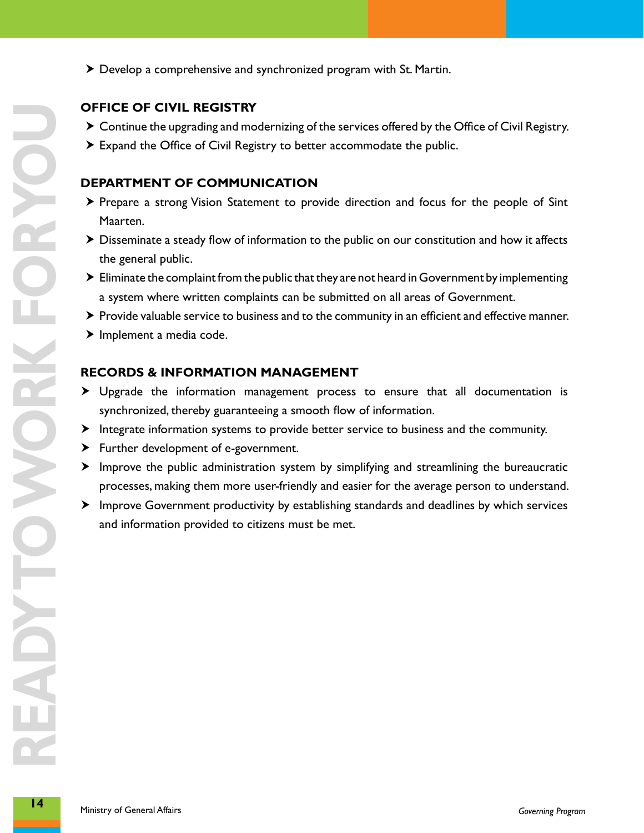- **14 CHEC DECS EXECTS FOR THE SET AND THE SET AND THE SET AND PROPERTY CONTROLLATION PROPERTY TO FOOM MUNICATION ONCE SET AND THE SET AND THE SET AND THE SET AND THE SET AND THE SET AND THE SET AND THE SET AND THE SET AN**
- $\triangleright$  Develop a comprehensive and synchronized program with St. Martin.

#### **OFFICE OF CIVIL REGISTRY**

- $\triangleright$  Continue the upgrading and modernizing of the services offered by the Office of Civil Registry.
- $\blacktriangleright$  Expand the Office of Civil Registry to better accommodate the public.

#### **DEPARTMENT OF COMMUNICATION**

- > Prepare a strong Vision Statement to provide direction and focus for the people of Sint Maarten.
- $\triangleright$  Disseminate a steady flow of information to the public on our constitution and how it affects the general public.
- $\blacktriangleright$  Eliminate the complaint from the public that they are not heard in Government by implementing a system where written complaints can be submitted on all areas of Government.
- $\triangleright$  Provide valuable service to business and to the community in an efficient and effective manner.
- $\blacktriangleright$  Implement a media code.

#### **RECORDS & INFORMATION MANAGEMENT**

- $\blacktriangleright$  Upgrade the information management process to ensure that all documentation is synchronized, thereby guaranteeing a smooth flow of information.
- $\blacktriangleright$  Integrate information systems to provide better service to business and the community.
- $\blacktriangleright$  Further development of e-government.
- $\blacktriangleright$  Improve the public administration system by simplifying and streamlining the bureaucratic processes, making them more user-friendly and easier for the average person to understand.
- $\blacktriangleright$  Improve Government productivity by establishing standards and deadlines by which services and information provided to citizens must be met.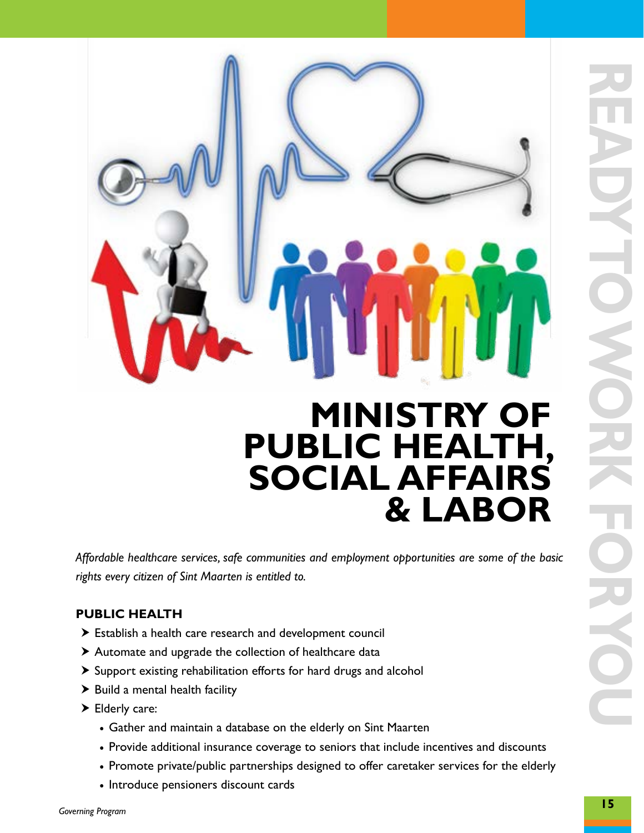

*Affordable healthcare services, safe communities and employment opportunities are some of the basic rights every citizen of Sint Maarten is entitled to.*

#### **PUBLIC HEALTH**

- $\triangleright$  Establish a health care research and development council
- $\triangleright$  Automate and upgrade the collection of healthcare data
- $\blacktriangleright$  Support existing rehabilitation efforts for hard drugs and alcohol
- $\blacktriangleright$  Build a mental health facility
- $\blacktriangleright$  Elderly care:
	- Gather and maintain a database on the elderly on Sint Maarten
	- Provide additional insurance coverage to seniors that include incentives and discounts
	- Promote private/public partnerships designed to offer caretaker services for the elderly
	- Introduce pensioners discount cards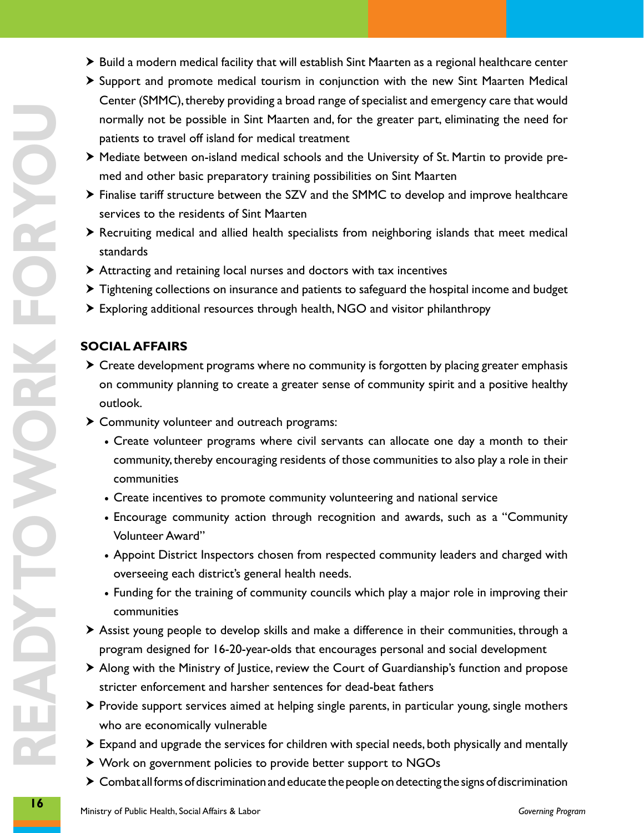- $\triangleright$  Build a modern medical facility that will establish Sint Maarten as a regional healthcare center
- $\triangleright$  Support and promote medical tourism in conjunction with the new Sint Maarten Medical Center (SMMC), thereby providing a broad range of specialist and emergency care that would normally not be possible in Sint Maarten and, for the greater part, eliminating the need for patients to travel off island for medical treatment
- h Mediate between on-island medical schools and the University of St. Martin to provide premed and other basic preparatory training possibilities on Sint Maarten
- $\triangleright$  Finalise tariff structure between the SZV and the SMMC to develop and improve healthcare services to the residents of Sint Maarten
- $\triangleright$  Recruiting medical and allied health specialists from neighboring islands that meet medical standards
- $\triangleright$  Attracting and retaining local nurses and doctors with tax incentives
- $\triangleright$  Tightening collections on insurance and patients to safeguard the hospital income and budget
- $\triangleright$  Exploring additional resources through health, NGO and visitor philanthropy

#### **SOCIAL AFFAIRS**

- $\triangleright$  Create development programs where no community is forgotten by placing greater emphasis on community planning to create a greater sense of community spirit and a positive healthy outlook.
- $\triangleright$  Community volunteer and outreach programs:
	- • Create volunteer programs where civil servants can allocate one day a month to their community, thereby encouraging residents of those communities to also play a role in their communities
	- • Create incentives to promote community volunteering and national service
	- Encourage community action through recognition and awards, such as a "Community Volunteer Award"
	- Appoint District Inspectors chosen from respected community leaders and charged with overseeing each district's general health needs.
	- Funding for the training of community councils which play a major role in improving their communities
- $\triangleright$  Assist young people to develop skills and make a difference in their communities, through a program designed for 16-20-year-olds that encourages personal and social development
- $\triangleright$  Along with the Ministry of Justice, review the Court of Guardianship's function and propose stricter enforcement and harsher sentences for dead-beat fathers
- $\triangleright$  Provide support services aimed at helping single parents, in particular young, single mothers who are economically vulnerable
- $\triangleright$  Expand and upgrade the services for children with special needs, both physically and mentally
- ▶ Work on government policies to provide better support to NGOs
- $\triangleright$  Combat all forms of discrimination and educate the people on detecting the signs of discrimination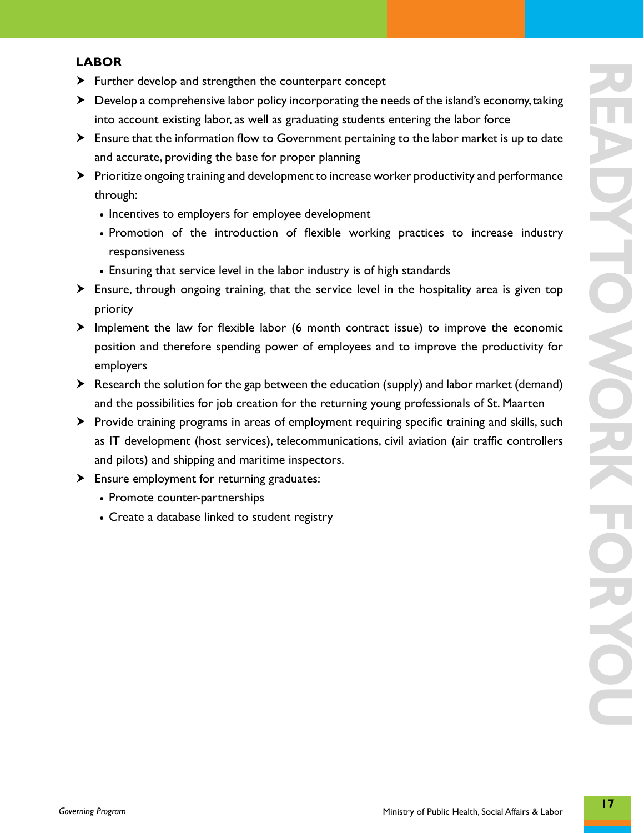#### **LABOR**

- $\blacktriangleright$  Further develop and strengthen the counterpart concept
- $\blacktriangleright$  Develop a comprehensive labor policy incorporating the needs of the island's economy, taking into account existing labor, as well as graduating students entering the labor force
- $\blacktriangleright$  Ensure that the information flow to Government pertaining to the labor market is up to date and accurate, providing the base for proper planning
- $\triangleright$  Prioritize ongoing training and development to increase worker productivity and performance through:
	- Incentives to employers for employee development
	- Promotion of the introduction of flexible working practices to increase industry responsiveness
	- Ensuring that service level in the labor industry is of high standards
- $\blacktriangleright$  Ensure, through ongoing training, that the service level in the hospitality area is given top priority
- $\blacktriangleright$  Implement the law for flexible labor (6 month contract issue) to improve the economic position and therefore spending power of employees and to improve the productivity for employers
- $\triangleright$  Research the solution for the gap between the education (supply) and labor market (demand) and the possibilities for job creation for the returning young professionals of St. Maarten
- h Provide training programs in areas of employment requiring specific training and skills, such as IT development (host services), telecommunications, civil aviation (air traffic controllers and pilots) and shipping and maritime inspectors.
- $\blacktriangleright$  Ensure employment for returning graduates:
	- Promote counter-partnerships
	- • Create a database linked to student registry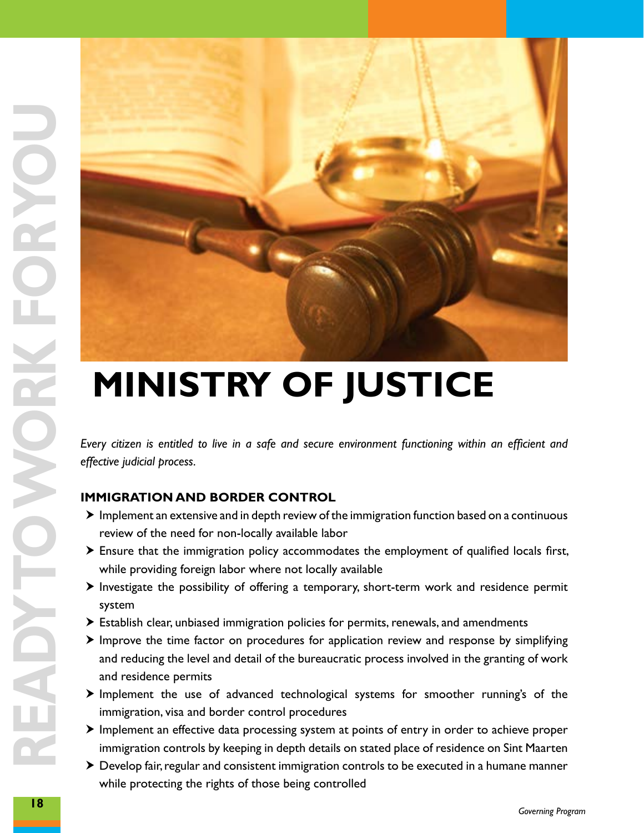

*Every citizen is entitled to live in a safe and secure environment functioning within an efficient and effective judicial process.* 

#### **IMMIGRATION AND BORDER CONTROL**

- $\blacktriangleright$  Implement an extensive and in depth review of the immigration function based on a continuous review of the need for non-locally available labor
- $\triangleright$  Ensure that the immigration policy accommodates the employment of qualified locals first, while providing foreign labor where not locally available
- $\triangleright$  Investigate the possibility of offering a temporary, short-term work and residence permit system
- $\triangleright$  Establish clear, unbiased immigration policies for permits, renewals, and amendments
- $\blacktriangleright$  Improve the time factor on procedures for application review and response by simplifying and reducing the level and detail of the bureaucratic process involved in the granting of work and residence permits
- $\triangleright$  Implement the use of advanced technological systems for smoother running's of the immigration, visa and border control procedures
- $\blacktriangleright$  Implement an effective data processing system at points of entry in order to achieve proper immigration controls by keeping in depth details on stated place of residence on Sint Maarten
- $\triangleright$  Develop fair, regular and consistent immigration controls to be executed in a humane manner while protecting the rights of those being controlled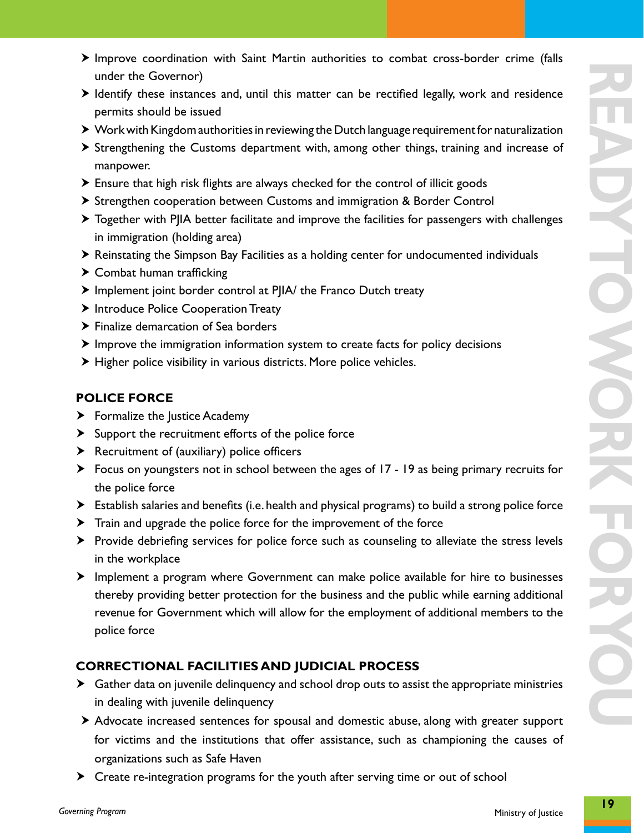- $\triangleright$  Improve coordination with Saint Martin authorities to combat cross-border crime (falls under the Governor)
- $\blacktriangleright$  Identify these instances and, until this matter can be rectified legally, work and residence permits should be issued
- ▶ Work with Kingdom authorities in reviewing the Dutch language requirement for naturalization
- $\triangleright$  Strengthening the Customs department with, among other things, training and increase of manpower.
- $\triangleright$  Ensure that high risk flights are always checked for the control of illicit goods
- ▶ Strengthen cooperation between Customs and immigration & Border Control
- $\triangleright$  Together with PJIA better facilitate and improve the facilities for passengers with challenges in immigration (holding area)
- h Reinstating the Simpson Bay Facilities as a holding center for undocumented individuals
- $\blacktriangleright$  Combat human trafficking
- $\triangleright$  Implement joint border control at PJIA/ the Franco Dutch treaty
- > Introduce Police Cooperation Treaty
- $\blacktriangleright$  Finalize demarcation of Sea borders
- $\blacktriangleright$  Improve the immigration information system to create facts for policy decisions
- $\blacktriangleright$  Higher police visibility in various districts. More police vehicles.

#### **POLICE FORCE**

- $\blacktriangleright$  Formalize the Justice Academy
- $\blacktriangleright$  Support the recruitment efforts of the police force
- $\blacktriangleright$  Recruitment of (auxiliary) police officers
- $\triangleright$  Focus on youngsters not in school between the ages of 17 19 as being primary recruits for the police force
- $\triangleright$  Establish salaries and benefits (i.e. health and physical programs) to build a strong police force
- $\blacktriangleright$  Train and upgrade the police force for the improvement of the force
- $\triangleright$  Provide debriefing services for police force such as counseling to alleviate the stress levels in the workplace
- **E** Implement a program where Government can make police available for hire to businesses thereby providing better protection for the business and the public while earning additional revenue for Government which will allow for the employment of additional members to the police force

#### **CORRECTIONAL FACILITIES AND JUDICIAL PROCESS**

- $\blacktriangleright$  Gather data on juvenile delinquency and school drop outs to assist the appropriate ministries in dealing with juvenile delinquency
- $\triangleright$  Advocate increased sentences for spousal and domestic abuse, along with greater support for victims and the institutions that offer assistance, such as championing the causes of organizations such as Safe Haven
- $\triangleright$  Create re-integration programs for the youth after serving time or out of school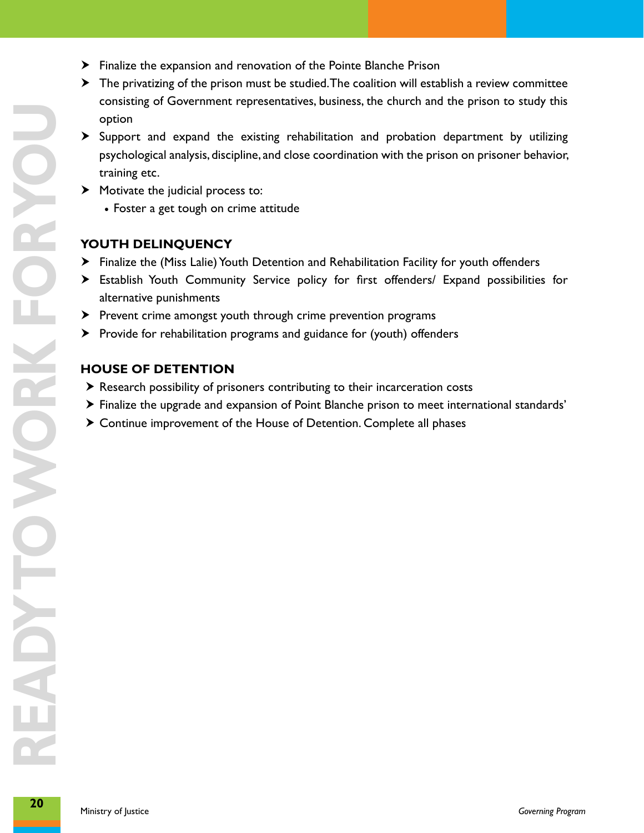- $\blacktriangleright$  Finalize the expansion and renovation of the Pointe Blanche Prison
- $\blacktriangleright$  The privatizing of the prison must be studied. The coalition will establish a review committee consisting of Government representatives, business, the church and the prison to study this option
- $\triangleright$  Support and expand the existing rehabilitation and probation department by utilizing psychological analysis, discipline, and close coordination with the prison on prisoner behavior, training etc.
- $\blacktriangleright$  Motivate the judicial process to:
	- Foster a get tough on crime attitude

#### **Youth Delinquency**

- h Finalize the (Miss Lalie) Youth Detention and Rehabilitation Facility for youth offenders
- **E**stablish Youth Community Service policy for first offenders/ Expand possibilities for alternative punishments
- > Prevent crime amongst youth through crime prevention programs
- $\triangleright$  Provide for rehabilitation programs and guidance for (youth) offenders

#### **House of Detention**

- $\triangleright$  Research possibility of prisoners contributing to their incarceration costs
- > Finalize the upgrade and expansion of Point Blanche prison to meet international standards'
- $\triangleright$  Continue improvement of the House of Detention. Complete all phases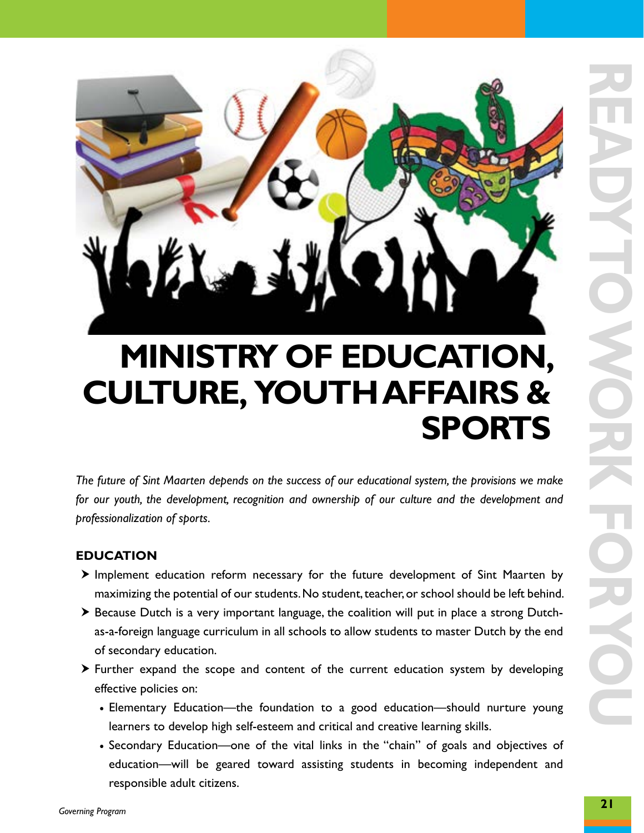

### **ministry of education, culture, youthaffairs & sports**

*The future of Sint Maarten depends on the success of our educational system, the provisions we make for our youth, the development, recognition and ownership of our culture and the development and professionalization of sports.*

#### **EDUCATION**

- $\triangleright$  Implement education reform necessary for the future development of Sint Maarten by maximizing the potential of our students. No student, teacher, or school should be left behind.
- $\triangleright$  Because Dutch is a very important language, the coalition will put in place a strong Dutchas-a-foreign language curriculum in all schools to allow students to master Dutch by the end of secondary education.
- $\triangleright$  Further expand the scope and content of the current education system by developing effective policies on:
	- Elementary Education—the foundation to a good education—should nurture young learners to develop high self-esteem and critical and creative learning skills.
	- Secondary Education—one of the vital links in the "chain" of goals and objectives of education—will be geared toward assisting students in becoming independent and responsible adult citizens.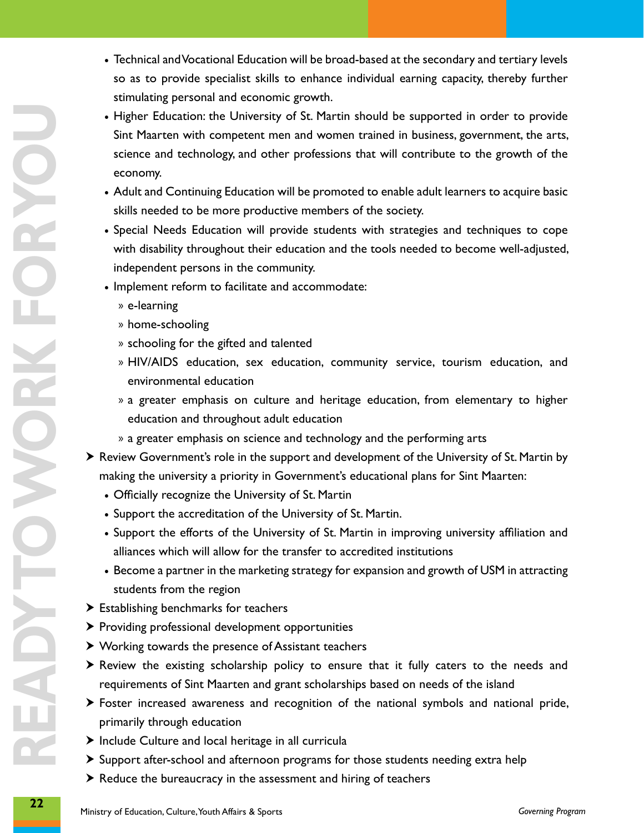- so as to provide specialist skills to enhance individual earning capacity, thereby further stimulating personal and economic growth.
- **2 Fichaland and Vocation Education will be thosehological est is excondary and entrary levels<br>and a to provide special and vocation growth in the subsection of the subsection of the secondary procedure of the secondary** • Higher Education: the University of St. Martin should be supported in order to provide Sint Maarten with competent men and women trained in business, government, the arts, science and technology, and other professions that will contribute to the growth of the economy.
	- • Adult and Continuing Education will be promoted to enable adult learners to acquire basic skills needed to be more productive members of the society.
	- • Special Needs Education will provide students with strategies and techniques to cope with disability throughout their education and the tools needed to become well-adjusted, independent persons in the community.
	- Implement reform to facilitate and accommodate:
		- » e-learning
		- » home-schooling
		- » schooling for the gifted and talented
		- » HIV/AIDS education, sex education, community service, tourism education, and environmental education
		- » a greater emphasis on culture and heritage education, from elementary to higher education and throughout adult education
		- » a greater emphasis on science and technology and the performing arts
	- $\triangleright$  Review Government's role in the support and development of the University of St. Martin by making the university a priority in Government's educational plans for Sint Maarten:
		- Officially recognize the University of St. Martin
		- Support the accreditation of the University of St. Martin.
		- Support the efforts of the University of St. Martin in improving university affiliation and alliances which will allow for the transfer to accredited institutions
		- Become a partner in the marketing strategy for expansion and growth of USM in attracting students from the region
	- $\blacktriangleright$  Establishing benchmarks for teachers
	- $\triangleright$  Providing professional development opportunities
	- $\blacktriangleright$  Working towards the presence of Assistant teachers
	- $\triangleright$  Review the existing scholarship policy to ensure that it fully caters to the needs and requirements of Sint Maarten and grant scholarships based on needs of the island
	- $\triangleright$  Foster increased awareness and recognition of the national symbols and national pride, primarily through education
	- $\blacktriangleright$  Include Culture and local heritage in all curricula
	- $\triangleright$  Support after-school and afternoon programs for those students needing extra help
	- $\blacktriangleright$  Reduce the bureaucracy in the assessment and hiring of teachers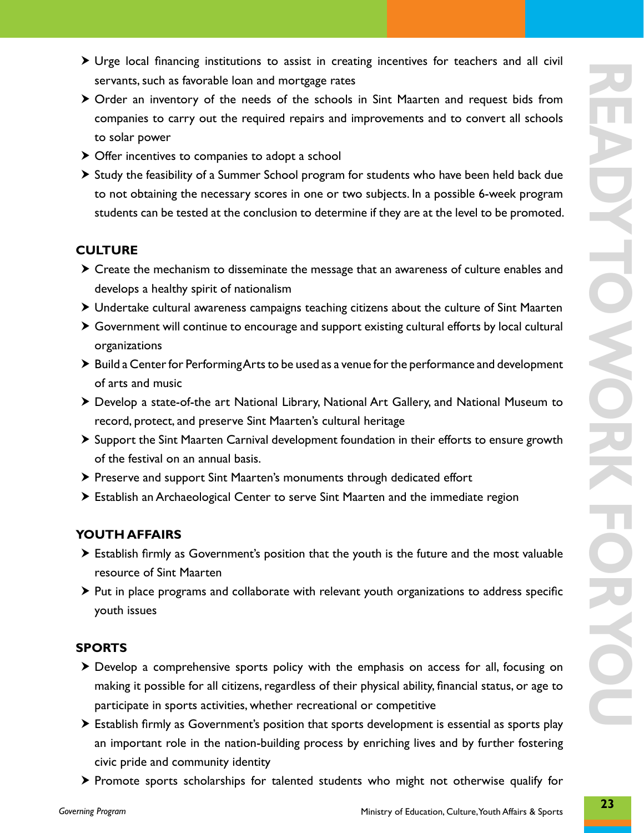- $\triangleright$  Urge local financing institutions to assist in creating incentives for teachers and all civil servants, such as favorable loan and mortgage rates
- $\triangleright$  Order an inventory of the needs of the schools in Sint Maarten and request bids from companies to carry out the required repairs and improvements and to convert all schools to solar power
- $\triangleright$  Offer incentives to companies to adopt a school
- $\triangleright$  Study the feasibility of a Summer School program for students who have been held back due to not obtaining the necessary scores in one or two subjects. In a possible 6-week program students can be tested at the conclusion to determine if they are at the level to be promoted.

#### **CULTURE**

- $\triangleright$  Create the mechanism to disseminate the message that an awareness of culture enables and develops a healthy spirit of nationalism
- $\triangleright$  Undertake cultural awareness campaigns teaching citizens about the culture of Sint Maarten
- $\triangleright$  Government will continue to encourage and support existing cultural efforts by local cultural organizations
- $\triangleright$  Build a Center for Performing Arts to be used as a venue for the performance and development of arts and music
- $\triangleright$  Develop a state-of-the art National Library, National Art Gallery, and National Museum to record, protect, and preserve Sint Maarten's cultural heritage
- $\triangleright$  Support the Sint Maarten Carnival development foundation in their efforts to ensure growth of the festival on an annual basis.
- $\triangleright$  Preserve and support Sint Maarten's monuments through dedicated effort
- $\triangleright$  Establish an Archaeological Center to serve Sint Maarten and the immediate region

#### **YOUTH AFFAIRS**

- $\triangleright$  Establish firmly as Government's position that the youth is the future and the most valuable resource of Sint Maarten
- $\triangleright$  Put in place programs and collaborate with relevant youth organizations to address specific youth issues

#### **SPORTS**

- $\triangleright$  Develop a comprehensive sports policy with the emphasis on access for all, focusing on making it possible for all citizens, regardless of their physical ability, financial status, or age to participate in sports activities, whether recreational or competitive
- $\triangleright$  Establish firmly as Government's position that sports development is essential as sports play an important role in the nation-building process by enriching lives and by further fostering civic pride and community identity
- $\triangleright$  Promote sports scholarships for talented students who might not otherwise qualify for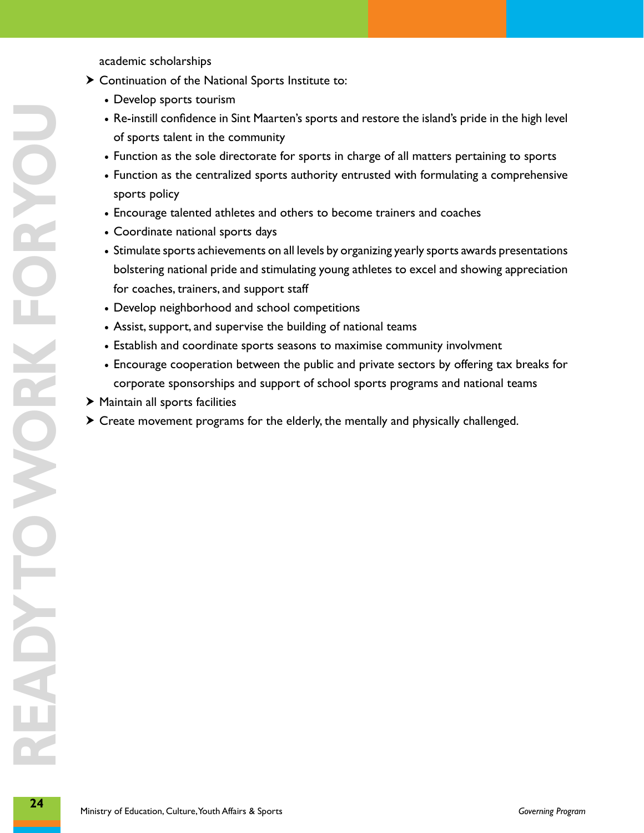academic scholarships

- $\blacktriangleright$  Continuation of the National Sports Institute to:
	- Develop sports tourism
	- • Re-instill confidence in Sint Maarten's sports and restore the island's pride in the high level of sports talent in the community
	- Function as the sole directorate for sports in charge of all matters pertaining to sports
	- Function as the centralized sports authority entrusted with formulating a comprehensive sports policy
	- Encourage talented athletes and others to become trainers and coaches
	- • Coordinate national sports days
	- • Stimulate sports achievements on all levels by organizing yearly sports awards presentations bolstering national pride and stimulating young athletes to excel and showing appreciation for coaches, trainers, and support staff
	- Develop neighborhood and school competitions
	- Assist, support, and supervise the building of national teams
	- Establish and coordinate sports seasons to maximise community involvment
	- Encourage cooperation between the public and private sectors by offering tax breaks for corporate sponsorships and support of school sports programs and national teams
- $\blacktriangleright$  Maintain all sports facilities
- $\triangleright$  Create movement programs for the elderly, the mentally and physically challenged.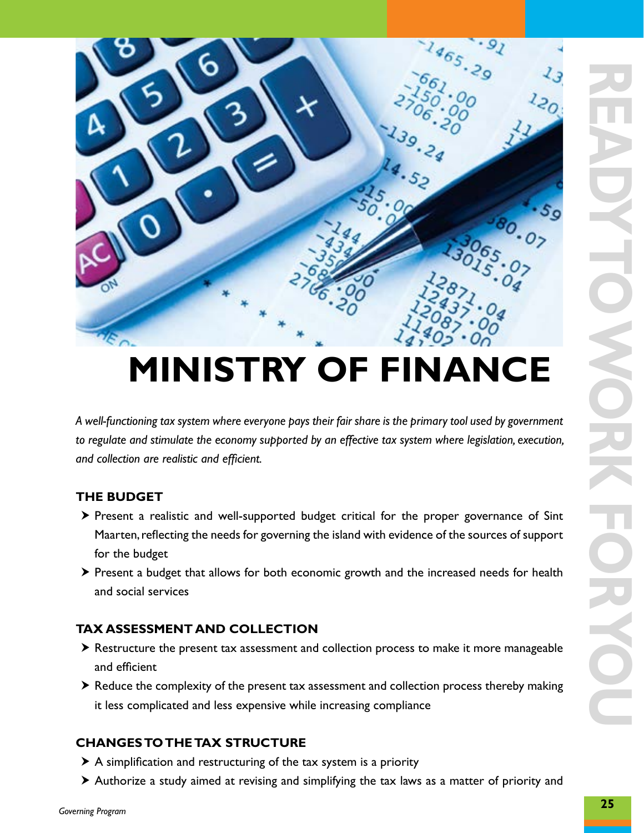

### **ministry of finance**

*A well-functioning tax system where everyone pays their fair share is the primary tool used by government*  to regulate and stimulate the economy supported by an effective tax system where legislation, execution, *and collection are realistic and efficient.*

#### **THE BUDGET**

- $\triangleright$  Present a realistic and well-supported budget critical for the proper governance of Sint Maarten, reflecting the needs for governing the island with evidence of the sources of support for the budget
- $\triangleright$  Present a budget that allows for both economic growth and the increased needs for health and social services

#### **TAX ASSESSMENT AND COLLECTION**

- $\triangleright$  Restructure the present tax assessment and collection process to make it more manageable and efficient
- $\triangleright$  Reduce the complexity of the present tax assessment and collection process thereby making it less complicated and less expensive while increasing compliance

#### **CHANGES TO THE TAX STRUCTURE**

- $\triangleright$  A simplification and restructuring of the tax system is a priority
- $\triangleright$  Authorize a study aimed at revising and simplifying the tax laws as a matter of priority and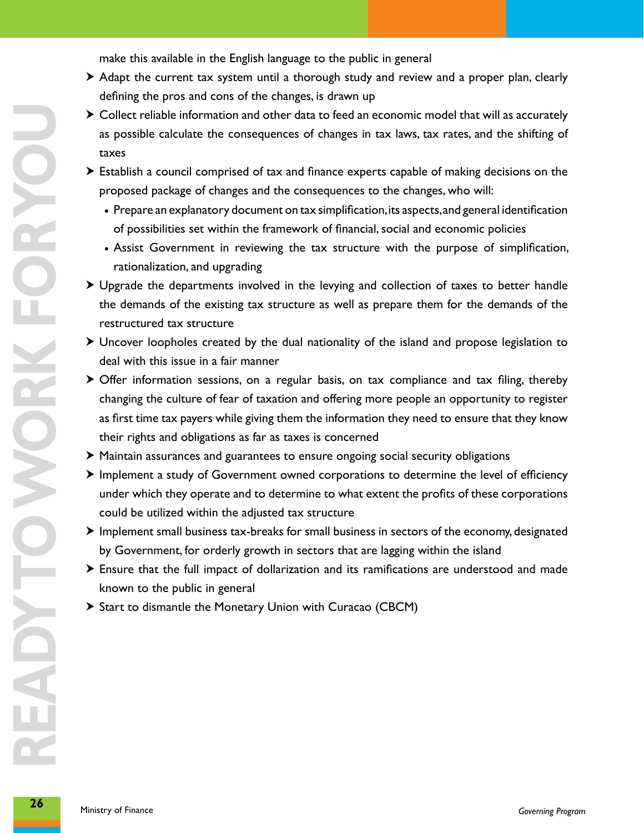make this available in the English language to the public in general

- $\triangleright$  Adapt the current tax system until a thorough study and review and a proper plan, clearly defining the pros and cons of the changes, is drawn up
- $\triangleright$  Collect reliable information and other data to feed an economic model that will as accurately as possible calculate the consequences of changes in tax laws, tax rates, and the shifting of taxes
- $\blacktriangleright$  Establish a council comprised of tax and finance experts capable of making decisions on the proposed package of changes and the consequences to the changes, who will:
	- • Prepare an explanatory document on tax simplification, its aspects, and general identification of possibilities set within the framework of financial, social and economic policies
	- Assist Government in reviewing the tax structure with the purpose of simplification, rationalization, and upgrading
- $\triangleright$  Upgrade the departments involved in the levying and collection of taxes to better handle the demands of the existing tax structure as well as prepare them for the demands of the restructured tax structure
- $\triangleright$  Uncover loopholes created by the dual nationality of the island and propose legislation to deal with this issue in a fair manner
- in Collect reliable information and other data to feed an economic model that will as accurately<br>as provide calculate the companyances of changes in axe lawy, zax rates, and the shifting of<br>these and the shifting of<br>prop  $\triangleright$  Offer information sessions, on a regular basis, on tax compliance and tax filing, thereby changing the culture of fear of taxation and offering more people an opportunity to register as first time tax payers while giving them the information they need to ensure that they know their rights and obligations as far as taxes is concerned
	- $\blacktriangleright$  Maintain assurances and guarantees to ensure ongoing social security obligations
	- $\blacktriangleright$  Implement a study of Government owned corporations to determine the level of efficiency under which they operate and to determine to what extent the profits of these corporations could be utilized within the adjusted tax structure
	- $\blacktriangleright$  Implement small business tax-breaks for small business in sectors of the economy, designated by Government, for orderly growth in sectors that are lagging within the island
	- $\triangleright$  Ensure that the full impact of dollarization and its ramifications are understood and made known to the public in general
	- $\triangleright$  Start to dismantle the Monetary Union with Curacao (CBCM)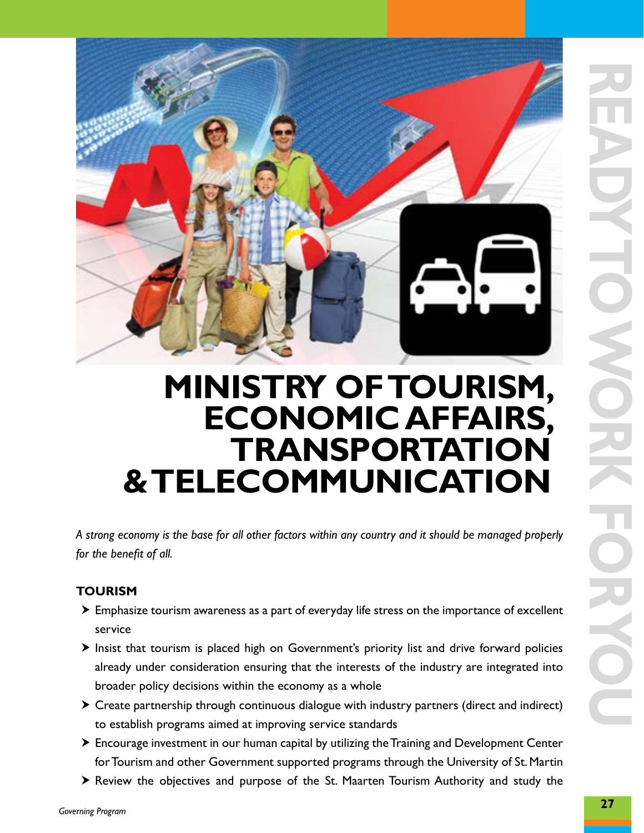

### **Ministry of Tourism, Economic Affairs, Transportation & Telecommunication**

*A strong economy is the base for all other factors within any country and it should be managed properly for the benefit of all.*

#### **TOURISM**

- $\triangleright$  Emphasize tourism awareness as a part of everyday life stress on the importance of excellent service
- $\triangleright$  Insist that tourism is placed high on Government's priority list and drive forward policies already under consideration ensuring that the interests of the industry are integrated into broader policy decisions within the economy as a whole
- $\triangleright$  Create partnership through continuous dialogue with industry partners (direct and indirect) to establish programs aimed at improving service standards
- $\triangleright$  Encourage investment in our human capital by utilizing the Training and Development Center for Tourism and other Government supported programs through the University of St. Martin
- $\triangleright$  Review the objectives and purpose of the St. Maarten Tourism Authority and study the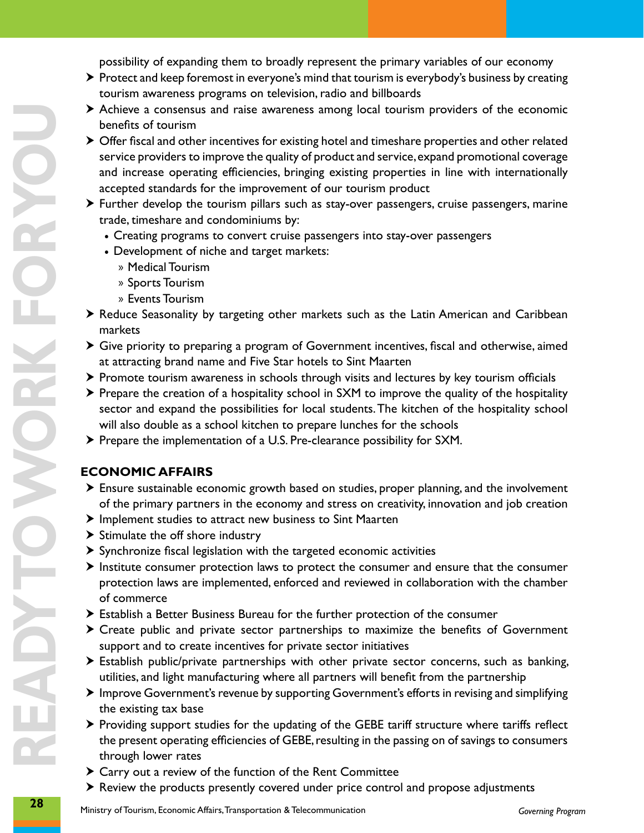possibility of expanding them to broadly represent the primary variables of our economy

- $\triangleright$  Protect and keep foremost in everyone's mind that tourism is everybody's business by creating tourism awareness programs on television, radio and billboards
- $\triangleright$  Achieve a consensus and raise awareness among local tourism providers of the economic benefits of tourism
- $\triangleright$  Offer fiscal and other incentives for existing hotel and timeshare properties and other related service providers to improve the quality of product and service, expand promotional coverage and increase operating efficiencies, bringing existing properties in line with internationally accepted standards for the improvement of our tourism product
- $\triangleright$  Further develop the tourism pillars such as stay-over passengers, cruise passengers, marine trade, timeshare and condominiums by:
	- Creating programs to convert cruise passengers into stay-over passengers
	- Development of niche and target markets:
		- » Medical Tourism
		- » Sports Tourism
		- » Events Tourism
- **>** Reduce Seasonality by targeting other markets such as the Latin American and Caribbean markets
- $\blacktriangleright$  Give priority to preparing a program of Government incentives, fiscal and otherwise, aimed at attracting brand name and Five Star hotels to Sint Maarten
- $\triangleright$  Promote tourism awareness in schools through visits and lectures by key tourism officials
- $\triangleright$  Prepare the creation of a hospitality school in SXM to improve the quality of the hospitality sector and expand the possibilities for local students. The kitchen of the hospitality school will also double as a school kitchen to prepare lunches for the schools
- $\triangleright$  Prepare the implementation of a U.S. Pre-clearance possibility for SXM.

#### **ECONOMIC AFFAIRS**

- $\triangleright$  Ensure sustainable economic growth based on studies, proper planning, and the involvement of the primary partners in the economy and stress on creativity, innovation and job creation
- $\blacktriangleright$  Implement studies to attract new business to Sint Maarten
- $\blacktriangleright$  Stimulate the off shore industry
- $\triangleright$  Synchronize fiscal legislation with the targeted economic activities
- $\triangleright$  Institute consumer protection laws to protect the consumer and ensure that the consumer protection laws are implemented, enforced and reviewed in collaboration with the chamber of commerce
- $\triangleright$  Establish a Better Business Bureau for the further protection of the consumer
- $\triangleright$  Create public and private sector partnerships to maximize the benefits of Government support and to create incentives for private sector initiatives
- $\triangleright$  Establish public/private partnerships with other private sector concerns, such as banking, utilities, and light manufacturing where all partners will benefit from the partnership
- $\blacktriangleright$  Improve Government's revenue by supporting Government's efforts in revising and simplifying the existing tax base
- $\triangleright$  Providing support studies for the updating of the GEBE tariff structure where tariffs reflect the present operating efficiencies of GEBE, resulting in the passing on of savings to consumers through lower rates
- $\triangleright$  Carry out a review of the function of the Rent Committee
- $\triangleright$  Review the products presently covered under price control and propose adjustments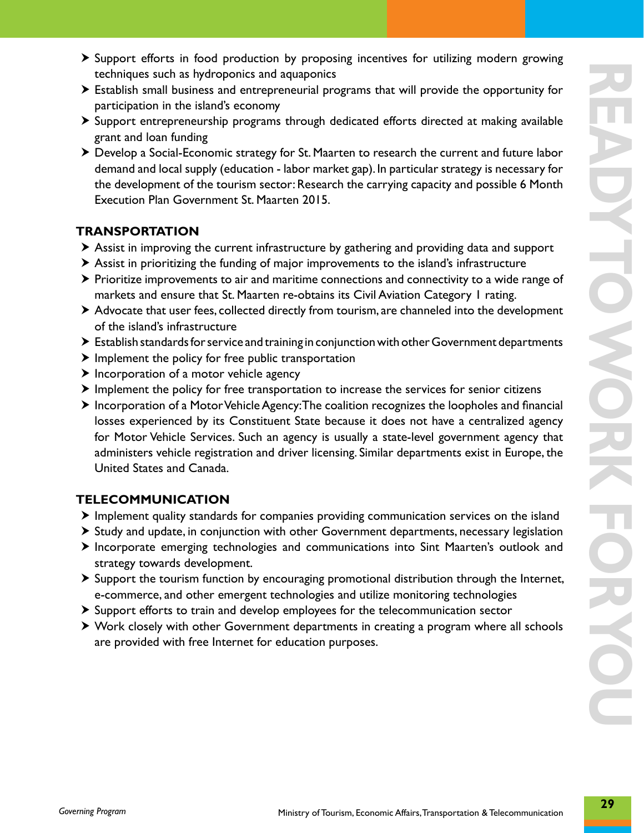- $\triangleright$  Support efforts in food production by proposing incentives for utilizing modern growing techniques such as hydroponics and aquaponics
- $\triangleright$  Establish small business and entrepreneurial programs that will provide the opportunity for participation in the island's economy
- $\triangleright$  Support entrepreneurship programs through dedicated efforts directed at making available grant and loan funding
- h Develop a Social-Economic strategy for St. Maarten to research the current and future labor demand and local supply (education - labor market gap). In particular strategy is necessary for the development of the tourism sector: Research the carrying capacity and possible 6 Month Execution Plan Government St. Maarten 2015.

#### **TRANSPORTATION**

- $\triangleright$  Assist in improving the current infrastructure by gathering and providing data and support
- h Assist in prioritizing the funding of major improvements to the island's infrastructure
- $\triangleright$  Prioritize improvements to air and maritime connections and connectivity to a wide range of markets and ensure that St. Maarten re-obtains its Civil Aviation Category 1 rating.
- $\triangleright$  Advocate that user fees, collected directly from tourism, are channeled into the development of the island's infrastructure
- $\triangleright$  Establish standards for service and training in conjunction with other Government departments
- $\blacktriangleright$  Implement the policy for free public transportation
- $\blacktriangleright$  Incorporation of a motor vehicle agency
- $\blacktriangleright$  Implement the policy for free transportation to increase the services for senior citizens
- $\triangleright$  Incorporation of a Motor Vehicle Agency: The coalition recognizes the loopholes and financial losses experienced by its Constituent State because it does not have a centralized agency for Motor Vehicle Services. Such an agency is usually a state-level government agency that administers vehicle registration and driver licensing. Similar departments exist in Europe, the United States and Canada.

#### **TELECOMMUNICATION**

- $\triangleright$  Implement quality standards for companies providing communication services on the island
- $\triangleright$  Study and update, in conjunction with other Government departments, necessary legislation
- $\triangleright$  Incorporate emerging technologies and communications into Sint Maarten's outlook and strategy towards development.
- $\triangleright$  Support the tourism function by encouraging promotional distribution through the Internet, e-commerce, and other emergent technologies and utilize monitoring technologies
- $\triangleright$  Support efforts to train and develop employees for the telecommunication sector
- $\triangleright$  Work closely with other Government departments in creating a program where all schools are provided with free Internet for education purposes.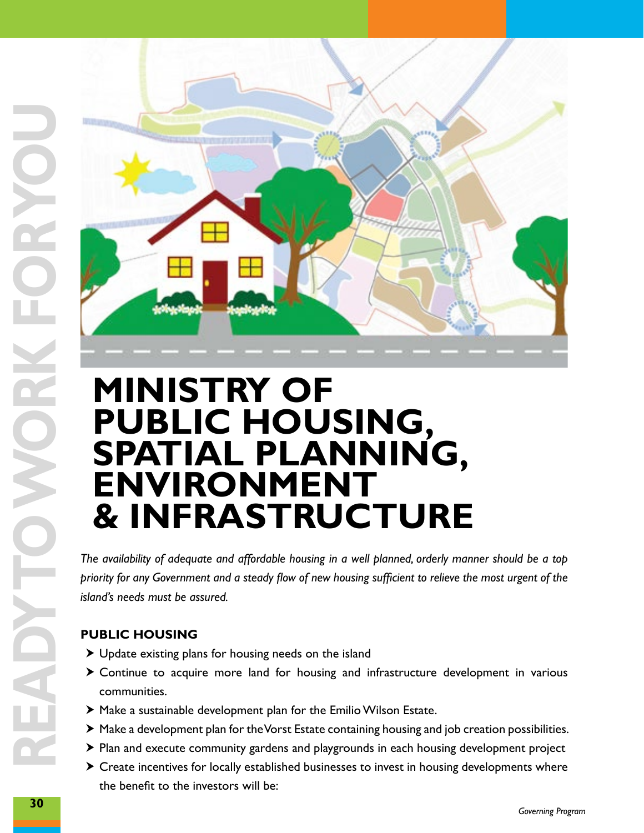

### **Ministry of Public Housing, Spatial Planning, Environment & Infrastructure**

*priority for any Government and a steady flow of new housing sufficient to relieve the most urgent of the island's needs must be assured.*

#### **PUBLIC HOUSING**

- $\blacktriangleright$  Update existing plans for housing needs on the island
- $\triangleright$  Continue to acquire more land for housing and infrastructure development in various communities.
- $\blacktriangleright$  Make a sustainable development plan for the Emilio Wilson Estate.
- $\blacktriangleright$  Make a development plan for the Vorst Estate containing housing and job creation possibilities.
- $\triangleright$  Plan and execute community gardens and playgrounds in each housing development project
- $\triangleright$  Create incentives for locally established businesses to invest in housing developments where the benefit to the investors will be: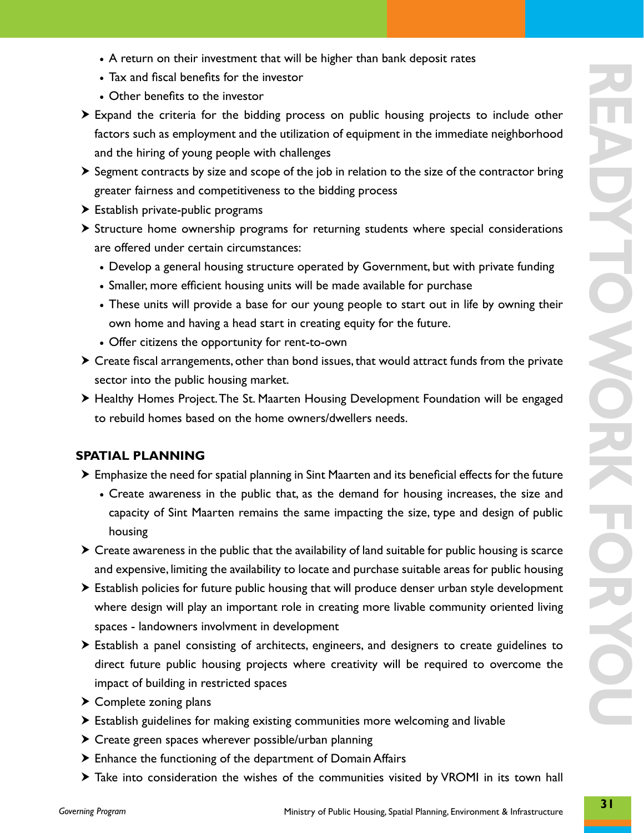- A return on their investment that will be higher than bank deposit rates
- Tax and fiscal benefits for the investor
- Other benefits to the investor
- $\triangleright$  Expand the criteria for the bidding process on public housing projects to include other factors such as employment and the utilization of equipment in the immediate neighborhood and the hiring of young people with challenges
- $\triangleright$  Segment contracts by size and scope of the job in relation to the size of the contractor bring greater fairness and competitiveness to the bidding process
- $\blacktriangleright$  Establish private-public programs
- $\triangleright$  Structure home ownership programs for returning students where special considerations are offered under certain circumstances:
	- Develop a general housing structure operated by Government, but with private funding
	- Smaller, more efficient housing units will be made available for purchase
	- These units will provide a base for our young people to start out in life by owning their own home and having a head start in creating equity for the future.
	- Offer citizens the opportunity for rent-to-own
- $\triangleright$  Create fiscal arrangements, other than bond issues, that would attract funds from the private sector into the public housing market.
- > Healthy Homes Project. The St. Maarten Housing Development Foundation will be engaged to rebuild homes based on the home owners/dwellers needs.

#### **SPATIAL PLANNING**

- $\blacktriangleright$  Emphasize the need for spatial planning in Sint Maarten and its beneficial effects for the future
	- Create awareness in the public that, as the demand for housing increases, the size and capacity of Sint Maarten remains the same impacting the size, type and design of public housing
- $\triangleright$  Create awareness in the public that the availability of land suitable for public housing is scarce and expensive, limiting the availability to locate and purchase suitable areas for public housing
- $\triangleright$  Establish policies for future public housing that will produce denser urban style development where design will play an important role in creating more livable community oriented living spaces - landowners involvment in development
- $\triangleright$  Establish a panel consisting of architects, engineers, and designers to create guidelines to direct future public housing projects where creativity will be required to overcome the impact of building in restricted spaces
- $\triangleright$  Complete zoning plans
- $\triangleright$  Establish guidelines for making existing communities more welcoming and livable
- $\triangleright$  Create green spaces wherever possible/urban planning
- $\blacktriangleright$  Enhance the functioning of the department of Domain Affairs
- $\triangleright$  Take into consideration the wishes of the communities visited by VROMI in its town hall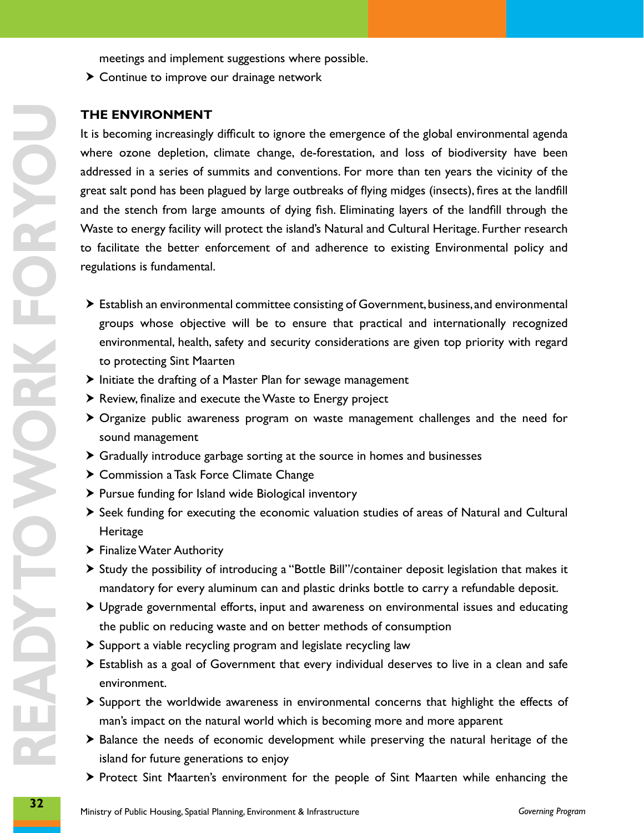meetings and implement suggestions where possible.

 $\blacktriangleright$  Continue to improve our drainage network

#### **THE ENVIRONMENT**

**THE ENVIROMMENT**<br> **THE ENVIROMMENT**<br> **32 ENVIROMMENT**<br> **32 ENVIROMMENT** CONDITE CONDITE CONDITE CONDITE CONDITE CONDITE CONDITE CONDITE CONDITE CONDITE CONDITE CONDITE CONDITE CONDITE CONDITE CONDITE CONDITE CONDITE C It is becoming increasingly difficult to ignore the emergence of the global environmental agenda where ozone depletion, climate change, de-forestation, and loss of biodiversity have been addressed in a series of summits and conventions. For more than ten years the vicinity of the great salt pond has been plagued by large outbreaks of flying midges (insects), fires at the landfill and the stench from large amounts of dying fish. Eliminating layers of the landfill through the Waste to energy facility will protect the island's Natural and Cultural Heritage. Further research to facilitate the better enforcement of and adherence to existing Environmental policy and regulations is fundamental.

- $\blacktriangleright$  Establish an environmental committee consisting of Government, business, and environmental groups whose objective will be to ensure that practical and internationally recognized environmental, health, safety and security considerations are given top priority with regard to protecting Sint Maarten
- $\blacktriangleright$  Initiate the drafting of a Master Plan for sewage management
- $\triangleright$  Review, finalize and execute the Waste to Energy project
- $\triangleright$  Organize public awareness program on waste management challenges and the need for sound management
- $\triangleright$  Gradually introduce garbage sorting at the source in homes and businesses
- $\triangleright$  Commission a Task Force Climate Change
- $\blacktriangleright$  Pursue funding for Island wide Biological inventory
- $\triangleright$  Seek funding for executing the economic valuation studies of areas of Natural and Cultural Heritage
- > Finalize Water Authority
- $\triangleright$  Study the possibility of introducing a "Bottle Bill"/container deposit legislation that makes it mandatory for every aluminum can and plastic drinks bottle to carry a refundable deposit.
- $\triangleright$  Upgrade governmental efforts, input and awareness on environmental issues and educating the public on reducing waste and on better methods of consumption
- $\triangleright$  Support a viable recycling program and legislate recycling law
- > Establish as a goal of Government that every individual deserves to live in a clean and safe environment.
- $\triangleright$  Support the worldwide awareness in environmental concerns that highlight the effects of man's impact on the natural world which is becoming more and more apparent
- $\triangleright$  Balance the needs of economic development while preserving the natural heritage of the island for future generations to enjoy
- $\triangleright$  Protect Sint Maarten's environment for the people of Sint Maarten while enhancing the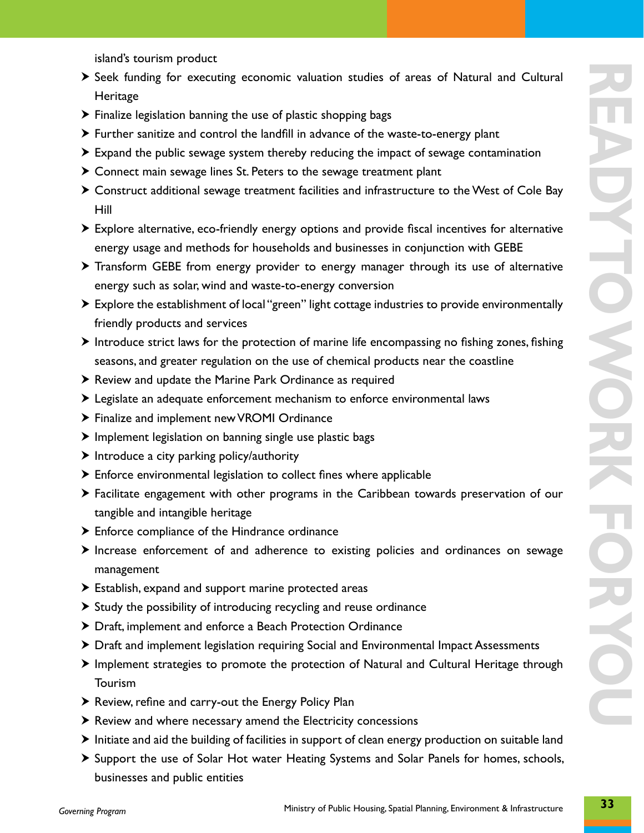island's tourism product

- > Seek funding for executing economic valuation studies of areas of Natural and Cultural Heritage
- $\triangleright$  Finalize legislation banning the use of plastic shopping bags
- $\triangleright$  Further sanitize and control the landfill in advance of the waste-to-energy plant
- $\triangleright$  Expand the public sewage system thereby reducing the impact of sewage contamination
- $\triangleright$  Connect main sewage lines St. Peters to the sewage treatment plant
- $\triangleright$  Construct additional sewage treatment facilities and infrastructure to the West of Cole Bay Hill
- $\triangleright$  Explore alternative, eco-friendly energy options and provide fiscal incentives for alternative energy usage and methods for households and businesses in conjunction with GEBE
- $\triangleright$  Transform GEBE from energy provider to energy manager through its use of alternative energy such as solar, wind and waste-to-energy conversion
- $\triangleright$  Explore the establishment of local "green" light cottage industries to provide environmentally friendly products and services
- $\blacktriangleright$  Introduce strict laws for the protection of marine life encompassing no fishing zones, fishing seasons, and greater regulation on the use of chemical products near the coastline
- $\blacktriangleright$  Review and update the Marine Park Ordinance as required
- h Legislate an adequate enforcement mechanism to enforce environmental laws
- > Finalize and implement new VROMI Ordinance
- $\blacktriangleright$  Implement legislation on banning single use plastic bags
- $\blacktriangleright$  Introduce a city parking policy/authority
- $\blacktriangleright$  Enforce environmental legislation to collect fines where applicable
- $\triangleright$  Facilitate engagement with other programs in the Caribbean towards preservation of our tangible and intangible heritage
- $\blacktriangleright$  Enforce compliance of the Hindrance ordinance
- $\triangleright$  Increase enforcement of and adherence to existing policies and ordinances on sewage management
- $\blacktriangleright$  Establish, expand and support marine protected areas
- $\triangleright$  Study the possibility of introducing recycling and reuse ordinance
- > Draft, implement and enforce a Beach Protection Ordinance
- $\triangleright$  Draft and implement legislation requiring Social and Environmental Impact Assessments
- $\blacktriangleright$  Implement strategies to promote the protection of Natural and Cultural Heritage through Tourism
- $\blacktriangleright$  Review, refine and carry-out the Energy Policy Plan
- $\triangleright$  Review and where necessary amend the Electricity concessions
- $\triangleright$  Initiate and aid the building of facilities in support of clean energy production on suitable land
- **>** Support the use of Solar Hot water Heating Systems and Solar Panels for homes, schools, businesses and public entities